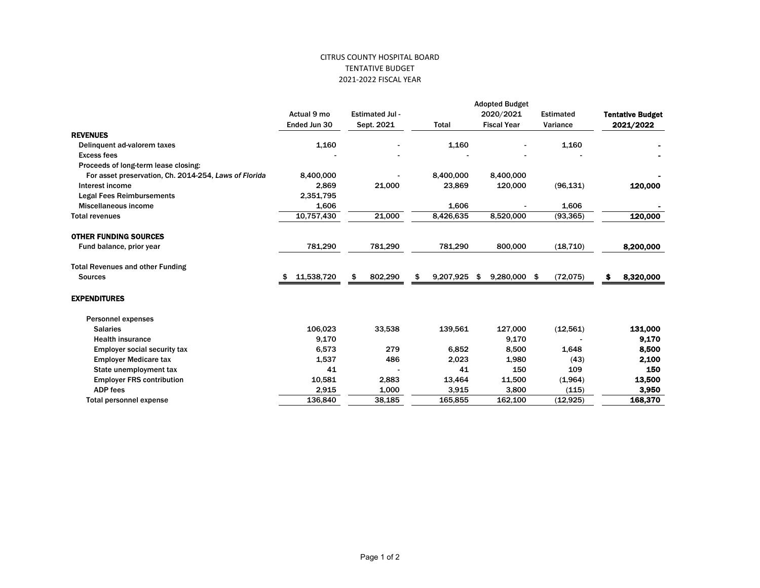## CITRUS COUNTY HOSPITAL BOARD TENTATIVE BUDGET 2021-2022 FISCAL YEAR

|                                                       | <b>Adopted Budget</b>       |                                      |                 |                                 |                              |                                      |  |  |
|-------------------------------------------------------|-----------------------------|--------------------------------------|-----------------|---------------------------------|------------------------------|--------------------------------------|--|--|
|                                                       | Actual 9 mo<br>Ended Jun 30 | <b>Estimated Jul -</b><br>Sept. 2021 | <b>Total</b>    | 2020/2021<br><b>Fiscal Year</b> | <b>Estimated</b><br>Variance | <b>Tentative Budget</b><br>2021/2022 |  |  |
|                                                       |                             |                                      |                 |                                 |                              |                                      |  |  |
| <b>REVENUES</b>                                       |                             |                                      |                 |                                 |                              |                                      |  |  |
| Delinguent ad-valorem taxes                           | 1,160                       |                                      | 1,160           |                                 | 1,160                        |                                      |  |  |
| <b>Excess fees</b>                                    |                             |                                      |                 |                                 |                              |                                      |  |  |
| Proceeds of long-term lease closing:                  |                             |                                      |                 |                                 |                              |                                      |  |  |
| For asset preservation, Ch. 2014-254, Laws of Florida | 8,400,000                   |                                      | 8,400,000       | 8,400,000                       |                              |                                      |  |  |
| Interest income                                       | 2,869                       | 21,000                               | 23,869          | 120,000                         | (96, 131)                    | 120,000                              |  |  |
| <b>Legal Fees Reimbursements</b>                      | 2,351,795                   |                                      |                 |                                 |                              |                                      |  |  |
| Miscellaneous income                                  | 1,606                       |                                      | 1,606           |                                 | 1,606                        |                                      |  |  |
| <b>Total revenues</b>                                 | 10,757,430                  | 21,000                               | 8,426,635       | 8,520,000                       | (93, 365)                    | 120,000                              |  |  |
| <b>OTHER FUNDING SOURCES</b>                          |                             |                                      |                 |                                 |                              |                                      |  |  |
| Fund balance, prior year                              | 781,290                     | 781,290                              | 781,290         | 800,000                         | (18, 710)                    | 8,200,000                            |  |  |
| <b>Total Revenues and other Funding</b>               |                             |                                      |                 |                                 |                              |                                      |  |  |
| <b>Sources</b>                                        | 11,538,720<br>\$            | 802,290<br>\$                        | 9,207,925<br>\$ | 9,280,000 \$<br>-\$             | (72, 075)                    | 8,320,000<br>\$                      |  |  |
| <b>EXPENDITURES</b>                                   |                             |                                      |                 |                                 |                              |                                      |  |  |
| <b>Personnel expenses</b>                             |                             |                                      |                 |                                 |                              |                                      |  |  |
| <b>Salaries</b>                                       | 106.023                     | 33,538                               | 139,561         | 127,000                         | (12, 561)                    | 131,000                              |  |  |
| <b>Health insurance</b>                               | 9,170                       |                                      |                 | 9,170                           |                              | 9,170                                |  |  |
| <b>Employer social security tax</b>                   | 6,573                       | 279                                  | 6,852           | 8,500                           | 1,648                        | 8,500                                |  |  |
| <b>Employer Medicare tax</b>                          | 1,537                       | 486                                  | 2,023           | 1,980                           | (43)                         | 2,100                                |  |  |
| State unemployment tax                                | 41                          |                                      | 41              | 150                             | 109                          | 150                                  |  |  |
| <b>Employer FRS contribution</b>                      | 10,581                      | 2,883                                | 13,464          | 11,500                          | (1,964)                      | 13,500                               |  |  |
| <b>ADP fees</b>                                       | 2,915                       | 1,000                                | 3,915           | 3,800                           | (115)                        | 3,950                                |  |  |
| Total personnel expense                               | 136,840                     | 38,185                               | 165,855         | 162,100                         | (12, 925)                    | 168,370                              |  |  |